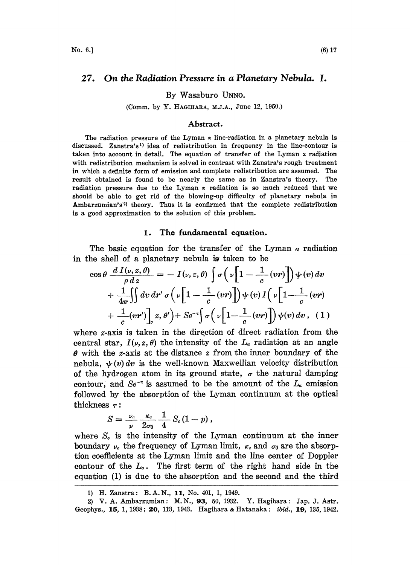#### On the Radiation Pressure in a Planetary Nebula. I. 27.

By Wasaburo UNNO.

(Comm, by Y. HAGIHARA, M.J.A., June 12, 1950.)

### Abstract.

The radiation pressure of the Lyman  $\alpha$  line-radiation in a planetary nebula is discussed: Zanstra's 1) idea of redistribution in frequency in the line-contour is taken into account in detail. The equation of transfer of the Lyman  $x$  radiation with redistribution mechanism is solved in contrast with Zanstra's rough treatment in which a definite form of emission and complete redistribution are assumed. The result obtained is found to be nearly the same as in Zanstra's theory. The radiation pressure due to the Lyman  $\alpha$  radiation is so much reduced that we should be able to get rid of the blowing-up difficulty of planetary nebula in Ambarzumian's<sup>2)</sup> theory. Thus it is confirmed that the complete redistribution is a good approximation to the solution of this problem.

### 1. The fundamental equation.

The basic equation for the transfer of the Lyman  $\alpha$  radiation in the shell of a planetary nebula is taken to be

$$
\cos \theta \frac{d I(\nu, z, \theta)}{\rho dz} = -I(\nu, z, \theta) \int \sigma \left( \nu \left[ 1 - \frac{1}{c} (\nu r) \right] \right) \psi(\nu) d\nu + \frac{1}{4\pi} \iint dv dr' \sigma \left( \nu \left[ 1 - \frac{1}{c} (\nu r) \right] \right) \psi(\nu) I \left( \nu \left[ 1 - \frac{1}{c} (\nu r) \right] + \frac{1}{c} (\nu r') \right], z, \theta' \right) + \mathcal{S}e^{-\tau} \int \sigma \left( \nu \left[ 1 - \frac{1}{c} (\nu r) \right] \right) \psi(\nu) d\nu, (1)
$$

where *z*-axis is taken in the direction of direct radiation from the central star,  $I(\nu, z, \theta)$  the intensity of the  $L_{\alpha}$  radiation at an angle  $\theta$  with the *z*-axis at the distance *z* from the inner boundary of the nebula,  $\psi(v)dv$  is the well-known Maxwellian velocity distribution of the hydrogen atom in its ground state,  $\sigma$  the natural damping contour, and  $Se^{-\pi}$  is assumed to be the amount of the  $L_{\alpha}$  emission<br>followed by the absorption of the Lyman continuum at the optical followed by the absorption of the Lyman continuum at the optical thickness  $\tau$ :

$$
S=\frac{\nu_c}{\nu}\frac{\kappa_c}{2\sigma_0}\frac{1}{4}\ S_c\left(1-p\right),\,
$$

where  $S<sub>e</sub>$  is the intensity of the Lyman continuum at the inner boundary  $\nu_c$  the frequency of Lyman limit,  $\kappa_c$  and  $\sigma_0$  are the absorption coefficients at the Lyman limit and the line center of Doppler contour of the  $L_{\alpha}$ . The first term of the right hand side in the equation (1) is due to the absorption and the second and the third

<sup>1)</sup> H. Zanstra: B.A.N., 11, No. 401, 1, 1949.

<sup>2)</sup> V. A. Ambarzumian: M. N., 93, 50, 1932. Y. Hagihara: Jap. J. Astr. Geophys., 15, 1, 1938; 20, 113, 1943. Hagihara & Hatanaka: ibid., 19, 135, 1942.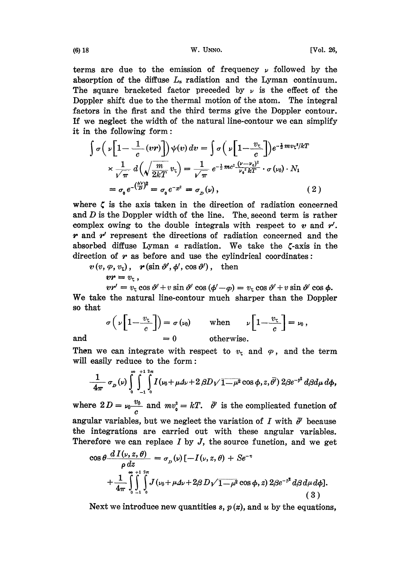terms are due to the emission of frequency  $\nu$  followed by the absorption of the diffuse  $L_a$  radiation and the Lyman continuum. The square bracketed factor preceded by  $\nu$  is the effect of the Doppler shift due to the thermal motion of the atom. The integral factors in the first and the third terms give the Doppler contour. If we neglect the width of the natural line-contour we can simplify it in the following form:

$$
\int \sigma \left( \nu \left[ 1 - \frac{1}{c} (vr) \right] \right) \psi(v) dv = \int \sigma \left( \nu \left[ 1 - \frac{v_c}{c} \right] \right) e^{-\frac{1}{2} m v_c^2 / kT}
$$
\n
$$
\times \frac{1}{\sqrt{\pi}} d \left( \sqrt{\frac{m}{2kT}} v_c \right) = \frac{1}{\sqrt{\pi}} e^{-\frac{1}{2} m c^2 \frac{(\nu - \nu_o)^2}{\nu_o^2 kT}} \cdot \sigma(v_0) \cdot N_1
$$
\n
$$
= \sigma_0 e^{-\left(\frac{\Delta v}{D}\right)^2} = \sigma_0 e^{-x^2} = \sigma_D(v) , \qquad (2)
$$

where  $\zeta$  is the axis taken in the direction of radiation concerned and D is the Doppler width of the line. The second term is rather complex owing to the double integrals with respect to  $v$  and  $r'$ .  $r$  and  $r'$  represent the directions of radiation concerned and the absorbed diffuse Lyman  $\alpha$  radiation. We take the  $\zeta$ -axis in the direction of  $r$  as before and use the cylindrical coordinates:

 $v(v, \varphi, v_{\tau}), \mathbf{r}(\sin \vartheta', \phi', \cos \vartheta'), \text{ then}$ 

 $vr = v_t$ ,  $\begin{aligned} \mathbf{v} \mathbf{v} &= v_{\zeta} \,, \\ v \mathbf{v}' &= v_{\zeta} \cos \vartheta' + v \sin \vartheta' \cos (\varphi' - \varphi) = v_{\zeta} \cos \vartheta' + v \sin \vartheta' \cos \varphi. \end{aligned}$ 

We take the natural line-contour much sharper than the Doppler so that

$$
\sigma\left(\nu\left[1-\frac{v_{\zeta}}{c}\right]\right)=\sigma\left(\nu_0\right) \qquad \text{when} \qquad \nu\left[1-\frac{v_{\zeta}}{c}\right]=\nu_0,
$$
  
and 
$$
=0 \qquad \text{otherwise.}
$$

and  $= 0$  otherwise.<br>Then we can integrate with respect to  $v<sub>x</sub>$  and  $\varphi$ , and the term will easily reduce to the form:

$$
\frac{1}{4\pi}\,\sigma_{_D}(\nu)\int\limits^{\infty}_{0}\int\limits^{+1}_{-1}\int\limits^{2\pi}_{0}I(\nu_0+\mu\varDelta\nu+2\,\beta D\sqrt{1-\mu^2}\cos\phi,z,\bar\theta')\,2\beta e^{-\beta^2}\,d\beta d\mu\,d\phi,
$$

where  $2D = v_0 \frac{v_0}{c}$  and  $mv_0^2 = kT$ .  $\bar{\theta}'$  is the complicated function of angular variables, but we neglect the variation of I with  $\bar{\theta}$  because the integrations are carried out with these angular variables. Therefore we can replace  $I$  by  $J$ , the source function, and we get

$$
\cos \theta \frac{d I(\nu, z, \theta)}{\rho dz} = \sigma_{\nu}(\nu) \left[ -I(\nu, z, \theta) + S e^{-\tau} \right] + \frac{1}{4\pi} \int_{0}^{\infty} \int_{-1}^{1} \int_{0}^{z_{\pi}} J(\nu_{0} + \mu \Delta \nu + 2\beta D\sqrt{1-\mu^{2}} \cos \phi, z) 2\beta e^{-\beta^{2}} d\beta d\mu d\phi \right].
$$
\n(3)

Next we introduce new quantities  $s, p(x)$ , and u by the equations,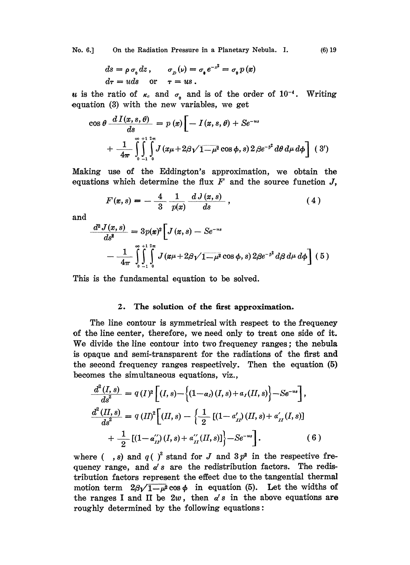No. 6.] On the Radiation Pressure in a Planetary Nebula. I. (6) 19

$$
ds = \rho \sigma_0 dz, \qquad \sigma_D(\nu) = \sigma_0 e^{-z^2} = \sigma_0 p(x)
$$
  
 
$$
dr = u ds \quad \text{or} \quad \tau = u s.
$$

u is the ratio of  $\kappa_c$  and  $\sigma_0$  and is of the order of  $10^{-4}$ . Writing equation  $(3)$  with the new variables, we get

$$
\cos \theta \frac{dI(x, s, \theta)}{ds} = p(x) \left[ -I(x, s, \theta) + Se^{-us} \right]
$$

$$
+ \frac{1}{4\pi} \int_{0}^{\infty} \int_{-1}^{1} \int_{0}^{2\pi} J(x\mu + 2\beta\sqrt{1-\mu^2} \cos \phi, s) 2\beta e^{-\beta^2} d\theta d\mu d\phi \right] (3')
$$

Making use of the Eddington's approximation, we obtain the equations which determine the flux  $F$  and the source function  $J$ ,

$$
F(x,s) = -\frac{4}{3} \frac{1}{p(x)} \frac{d J(x,s)}{ds}, \qquad (4)
$$

and

$$
\frac{d^2 J(x,s)}{ds^2} = 3p(x)^2 \left[ J(x,s) - Se^{-us} \right] \n- \frac{1}{4\pi} \int_{0}^{\infty} \int_{-1}^{12\pi} J(x\mu + 2\beta\sqrt{1-\mu^2} \cos \phi, s) 2\beta e^{-\beta^2} d\beta d\mu d\phi \right] (5)
$$

This is the fundamental equation to be solved.

## 2. The solution of the first approximation.

The line contour is symmetrical with respect to the frequency of the line center, therefore, we need only to treat one side of it. We divide the line contour into two frequency ranges; the nebula is opaque and semi-transparent for the radiations of the first and the second frequency ranges respectively. Then the equation (5) becomes the simultaneous equations, viz.,

$$
\frac{d^{2}(I,s)}{ds^{2}} = q(I)^{2} \Big[ (I,s) - \Big\{ (1-a_{I})(I,s) + a_{I}(II,s) \Big\} - Se^{-us} \Big],
$$
\n
$$
\frac{d^{2}(II,s)}{ds^{2}} = q(II)^{2} \Big[ (II,s) - \Big\{ \frac{1}{2} \left[ (1-a'_{II})(II,s) + a'_{II}(I,s) \right] + \frac{1}{2} \left[ (1-a'_{II})(I,s) + a''_{II}(II,s) \right] \Big\} - Se^{-us} \Big],
$$
\n(6)  
\nwhere  $(-,s)$  and  $q( )^{2}$  stand for J and  $3p^{2}$  in the respective free-

quency range, and  $\alpha' s$  are the redistribution factors. The redistribution factors represent the effect due to the tangential thermal motion term  $2\beta\sqrt{1-\mu^2}\cos\phi$  in equation (5). Let the widths of the ranges I and II be  $2w$ , then  $\alpha' s$  in the above equations are roughly determined by the following equations: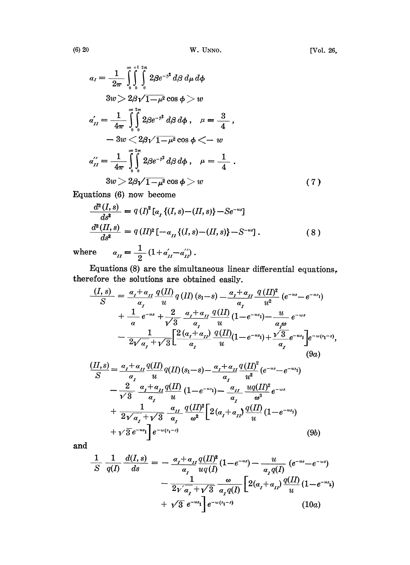$$
a_{I} = \frac{1}{2\pi} \int_{0}^{\infty} \int_{0}^{1} \int_{0}^{2\pi} 2\beta e^{-\beta^{2}} d\beta d\mu d\phi
$$
  
\n
$$
3w > 2\beta \sqrt{1-\mu^{2}} \cos \phi > w
$$
  
\n
$$
a'_{II} = \frac{1}{4\pi} \int_{0}^{\infty} \int_{0}^{2\pi} 2\beta e^{-\beta^{2}} d\beta d\phi, \quad \mu = \frac{3}{4},
$$
  
\n
$$
-3w < 2\beta \sqrt{1-\mu^{2}} \cos \phi < -w
$$
  
\n
$$
a''_{II} = \frac{1}{4\pi} \int_{0}^{\infty} \int_{0}^{2\pi} 2\beta e^{-\beta^{2}} d\beta d\phi, \quad \mu = \frac{1}{4}.
$$
  
\n
$$
3w > 2\beta \sqrt{1-\mu^{2}} \cos \phi > w
$$
\n(7)

Equations (6) now become

$$
\frac{d^2(I,s)}{ds^2} = q(I)^2[a_x \{(I,s)-(II,s)\} - Se^{-us}]
$$
  

$$
\frac{d^2(II,s)}{ds^2} = q(II)^2[-a_{II} \{(I,s)-(II,s)\} - S^{-us}].
$$
 (8)

where  $a_{II} = \frac{1}{2} (1 + a'_{II} - a'_{II})$ .

Equations (8) are the simultaneous linear differential equations, therefore the solutions are obtained easily.

$$
\frac{(I,s)}{S} = \frac{a_{I} + a_{II}}{a_{I}} \frac{q(II)}{u} q(II) (s_{1} - s) - \frac{a_{I} + a_{II}}{a_{I}} \frac{q(II)^{2}}{u^{2}} (e^{-us} - e^{-us_{1}})
$$
\n
$$
+ \frac{1}{\alpha} e^{-us} + \frac{2}{\sqrt{3}} \frac{a_{I} + a_{II}}{a_{I}} \frac{q(II)}{u} (1 - e^{-us_{1}}) - \frac{u}{a_{I}\omega} e^{-us}
$$
\n
$$
- \frac{1}{2\sqrt{a_{I}} + \sqrt{3}} \left[ \frac{2(a_{I} + a_{II})}{a_{I}} \frac{q(II)}{u} (1 - e^{-us_{1}}) + \frac{\sqrt{3}}{a_{I}} e^{-us_{I}} \right] e^{-w(s_{1} - s)},
$$
\n
$$
\frac{(II,s)}{S} = \frac{a_{I} + a_{II}}{a_{I}} \frac{q(II)}{u} q(II) (s_{1} - s) - \frac{a_{I} + a_{II}}{a_{I}} \frac{q(II)^{2}}{u^{2}} (e^{-us} - e^{-us_{1}})
$$
\n
$$
- \frac{2}{\sqrt{3}} \frac{a_{I} + a_{II}}{a_{I}} \frac{q(II)}{u} (1 - e^{-us_{1}}) - \frac{a_{II}}{a_{I}} \frac{uq(II)^{2}}{w^{3}} e^{-ws}
$$
\n
$$
+ \frac{1}{2\sqrt{a_{I} + \sqrt{3}}} \frac{a_{II}}{a_{I}} \frac{q(II)^{2}}{w^{2}} \left[ 2(a_{I} + a_{II}) \frac{q(II)}{u} (1 - e^{-us_{1}}) + \frac{1}{\sqrt{3}} e^{-us_{1}} \right] e^{-w(s_{1} - s)}
$$
\n
$$
+ \sqrt{3} e^{-us_{1}} \left[ e^{-w(s_{1} - s)} \right]
$$
\n(9b)

and

$$
\frac{1}{S} \frac{1}{q(I)} \frac{d(I,s)}{ds} = -\frac{\alpha_I + \alpha_{II}}{\alpha_I} \frac{q(II)^2}{uq(I)} (1 - e^{-us}) - \frac{u}{\alpha_I q(I)} (e^{-us} - e^{-us}) - \frac{1}{2\sqrt{\alpha_I} + \sqrt{3}} \frac{\omega}{\alpha_I q(I)} \left[ 2(\alpha_I + \alpha_{II}) \frac{q(II)}{u} (1 - e^{-us}) + \sqrt{3} e^{-us_1} \right] e^{-\omega(s_1 - s)} \qquad (10a)
$$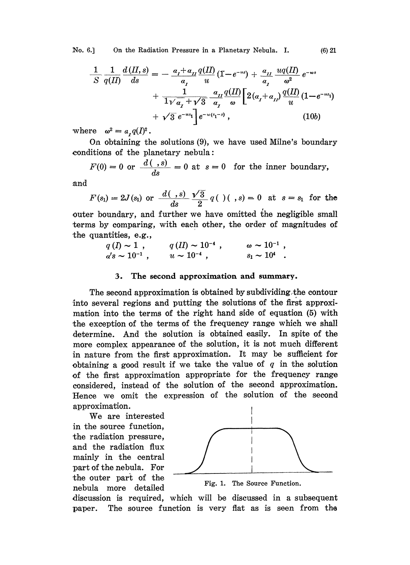No. 6.] On the Radiation Pressure in a Planetary Nebula. I. (6) 21

$$
\frac{1}{S} \frac{1}{q(II)} \frac{d(II,s)}{ds} = -\frac{a_t + a_{II}}{a_t} \frac{q(II)}{u} (1 - e^{-us}) + \frac{a_{II}}{a_t} \frac{uq(II)}{a^2} e^{-ws} + \frac{1}{1 \sqrt{a_t} + \sqrt{3}} \frac{a_{II}}{a_t} \frac{q(II)}{\omega} \Big[ 2(a_t + a_{II}) \frac{q(II)}{u} (1 - e^{-us_1}) + \sqrt{3} e^{-us_1} \Big] e^{-w(s_1 - s)}, \qquad (10b)
$$

where  $\omega^2 = a_{\tau} q(I)^2$ .

On obtaining the solutions (9), we have used Milne's boundary conditions of the planetary nebula:

$$
F(0) = 0 \text{ or } \frac{d(. , s)}{ds} = 0 \text{ at } s = 0 \text{ for the inner boundary,}
$$

.and

$$
F(s_1) = 2J(s_1)
$$
 or  $\frac{d(., s)}{ds} \frac{\sqrt{3}}{2} q(.) (., s) = 0$  at  $s = s_1$  for the

outer boundary, and further we have omitted the negligible small erms by comparing, with each other, the order of magnitudes of the quantities, e.g.,

$$
q(I) \sim 1
$$
,  $q(II) \sim 10^{-4}$ ,  $\omega \sim 10^{-1}$ ,  
\n $a's \sim 10^{-1}$ ,  $u \sim 10^{-4}$ ,  $s_1 \sim 10^4$ .

# 3. The second approximation and summary.

The second approximation is obtained by subdividing the contour into several regions and putting the solutions of the first approximation into the terms of the right hand side of equation (5) with the exception of the terms of the frequency range which we shall determine. And the solution is obtained easily. In spite of the more complex appearance of the solution, it is not much different in nature from the first approximation. It may be sufficient for obtaining a good result if we take the value of  $q$  in the solution of the first approximation appropriate for the frequency range considered, instead of the solution of the second approximation. Hence we omit the expression of the solution of the second approximation.

We are interested in the source function, the radiation pressure, and the radiation flux mainly in the central part of the nebula. For the outer part of the nebula more detailed Fig. 1. The Source Function.



discussion is required, which will be discussed in a subsequent paper. The source function is very flat as is seen from the